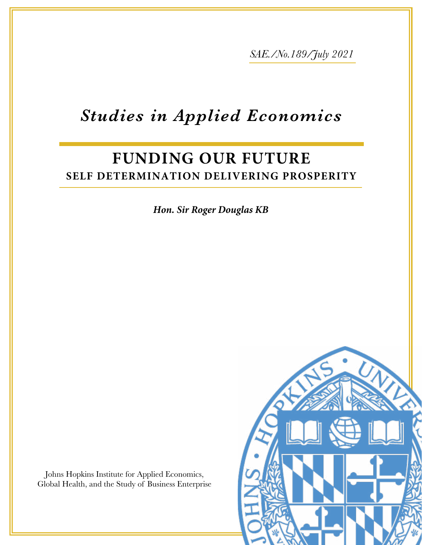*SAE./No.189/July 2021*

# *Studies in Applied Economics*

# **FUNDING OUR FUTURE SELF DETERMINATION DELIVERING PROSPERITY**

*Hon. Sir Roger Douglas KB*

Johns Hopkins Institute for Applied Economics, Global Health, and the Study of Business Enterprise

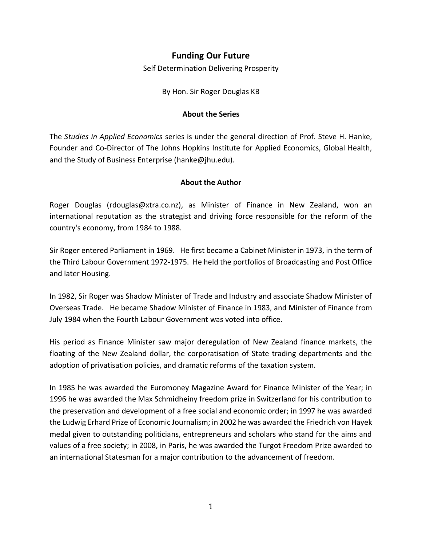# **Funding Our Future**

Self Determination Delivering Prosperity

By Hon. Sir Roger Douglas KB

#### **About the Series**

The *Studies in Applied Economics* series is under the general direction of Prof. Steve H. Hanke, Founder and Co-Director of The Johns Hopkins Institute for Applied Economics, Global Health, and the Study of Business Enterprise [\(hanke@jhu.edu\)](mailto:hanke@jhu.edu).

#### **About the Author**

Roger Douglas [\(rdouglas@xtra.co.nz\)](mailto:rdouglas@xtra.co.nz), as Minister of Finance in New Zealand, won an international reputation as the strategist and driving force responsible for the reform of the country's economy, from 1984 to 1988.

Sir Roger entered Parliament in 1969. He first became a Cabinet Minister in 1973, in the term of the Third Labour Government 1972-1975. He held the portfolios of Broadcasting and Post Office and later Housing.

In 1982, Sir Roger was Shadow Minister of Trade and Industry and associate Shadow Minister of Overseas Trade. He became Shadow Minister of Finance in 1983, and Minister of Finance from July 1984 when the Fourth Labour Government was voted into office.

His period as Finance Minister saw major deregulation of New Zealand finance markets, the floating of the New Zealand dollar, the corporatisation of State trading departments and the adoption of privatisation policies, and dramatic reforms of the taxation system.

In 1985 he was awarded the Euromoney Magazine Award for Finance Minister of the Year; in 1996 he was awarded the Max Schmidheiny freedom prize in Switzerland for his contribution to the preservation and development of a free social and economic order; in 1997 he was awarded the Ludwig Erhard Prize of Economic Journalism; in 2002 he was awarded the Friedrich von Hayek medal given to outstanding politicians, entrepreneurs and scholars who stand for the aims and values of a free society; in 2008, in Paris, he was awarded the Turgot Freedom Prize awarded to an international Statesman for a major contribution to the advancement of freedom.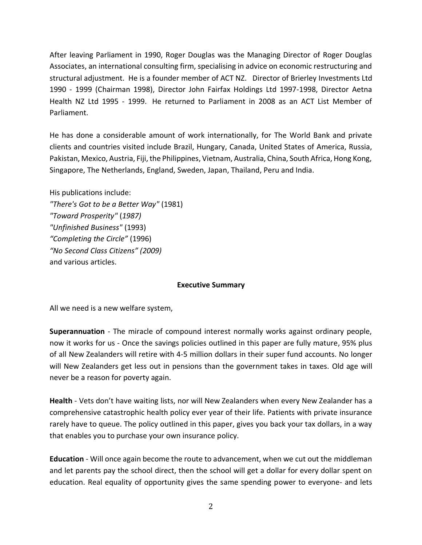After leaving Parliament in 1990, Roger Douglas was the Managing Director of Roger Douglas Associates, an international consulting firm, specialising in advice on economic restructuring and structural adjustment. He is a founder member of ACT NZ. Director of Brierley Investments Ltd 1990 - 1999 (Chairman 1998), Director John Fairfax Holdings Ltd 1997-1998, Director Aetna Health NZ Ltd 1995 - 1999. He returned to Parliament in 2008 as an ACT List Member of Parliament.

He has done a considerable amount of work internationally, for The World Bank and private clients and countries visited include Brazil, Hungary, Canada, United States of America, Russia, Pakistan, Mexico, Austria, Fiji, the Philippines, Vietnam, Australia, China, South Africa, Hong Kong, Singapore, The Netherlands, England, Sweden, Japan, Thailand, Peru and India.

His publications include: *"There's Got to be a Better Way"* (1981) *"Toward Prosperity"* (*1987) "Unfinished Business"* (1993) *"Completing the Circle"* (1996) *"No Second Class Citizens" (2009)* and various articles.

#### **Executive Summary**

All we need is a new welfare system,

**Superannuation** - The miracle of compound interest normally works against ordinary people, now it works for us - Once the savings policies outlined in this paper are fully mature, 95% plus of all New Zealanders will retire with 4-5 million dollars in their super fund accounts. No longer will New Zealanders get less out in pensions than the government takes in taxes. Old age will never be a reason for poverty again.

**Health** - Vets don't have waiting lists, nor will New Zealanders when every New Zealander has a comprehensive catastrophic health policy ever year of their life. Patients with private insurance rarely have to queue. The policy outlined in this paper, gives you back your tax dollars, in a way that enables you to purchase your own insurance policy.

**Education** - Will once again become the route to advancement, when we cut out the middleman and let parents pay the school direct, then the school will get a dollar for every dollar spent on education. Real equality of opportunity gives the same spending power to everyone- and lets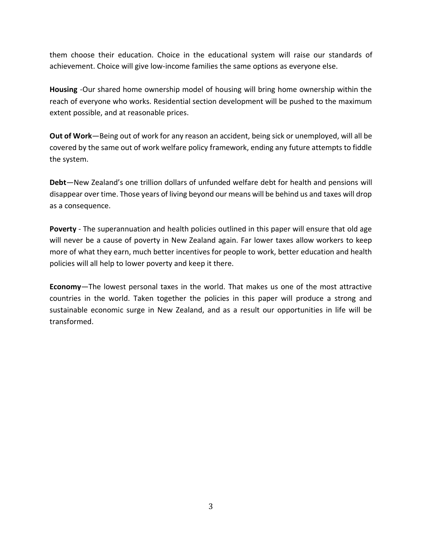them choose their education. Choice in the educational system will raise our standards of achievement. Choice will give low-income families the same options as everyone else.

**Housing** -Our shared home ownership model of housing will bring home ownership within the reach of everyone who works. Residential section development will be pushed to the maximum extent possible, and at reasonable prices.

**Out of Work**—Being out of work for any reason an accident, being sick or unemployed, will all be covered by the same out of work welfare policy framework, ending any future attempts to fiddle the system.

**Debt**—New Zealand's one trillion dollars of unfunded welfare debt for health and pensions will disappear over time. Those years of living beyond our means will be behind us and taxes will drop as a consequence.

**Poverty** - The superannuation and health policies outlined in this paper will ensure that old age will never be a cause of poverty in New Zealand again. Far lower taxes allow workers to keep more of what they earn, much better incentives for people to work, better education and health policies will all help to lower poverty and keep it there.

**Economy**—The lowest personal taxes in the world. That makes us one of the most attractive countries in the world. Taken together the policies in this paper will produce a strong and sustainable economic surge in New Zealand, and as a result our opportunities in life will be transformed.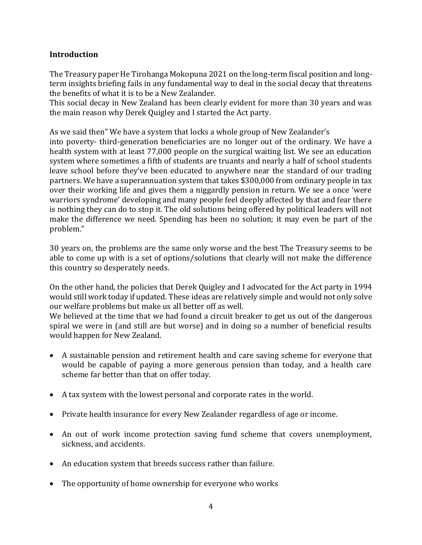# **Introduction**

The Treasury paper He Tirohanga Mokopuna 2021 on the long-term fiscal position and longterm insights briefing fails in any fundamental way to deal in the social decay that threatens the benefits of what it is to be a New Zealander.

This social decay in New Zealand has been clearly evident for more than 30 years and was the main reason why Derek Quigley and I started the Act party.

As we said then" We have a system that locks a whole group of New Zealander's into poverty- third-generation beneficiaries are no longer out of the ordinary. We have a health system with at least 77,000 people on the surgical waiting list. We see an education system where sometimes a fifth of students are truants and nearly a half of school students leave school before they've been educated to anywhere near the standard of our trading partners. We have a superannuation system that takes \$300,000 from ordinary people in tax over their working life and gives them a niggardly pension in return. We see a once 'were warriors syndrome' developing and many people feel deeply affected by that and fear there is nothing they can do to stop it. The old solutions being offered by political leaders will not make the difference we need. Spending has been no solution; it may even be part of the problem."

30 years on, the problems are the same only worse and the best The Treasury seems to be able to come up with is a set of options/solutions that clearly will not make the difference this country so desperately needs.

On the other hand, the policies that Derek Quigley and I advocated for the Act party in 1994 would still work today if updated. These ideas are relatively simple and would not only solve our welfare problems but make us all better off as well.

We believed at the time that we had found a circuit breaker to get us out of the dangerous spiral we were in (and still are but worse) and in doing so a number of beneficial results would happen for New Zealand.

- A sustainable pension and retirement health and care saving scheme for everyone that would be capable of paying a more generous pension than today, and a health care scheme far better than that on offer today.
- A tax system with the lowest personal and corporate rates in the world.
- Private health insurance for every New Zealander regardless of age or income.
- An out of work income protection saving fund scheme that covers unemployment, sickness, and accidents.
- An education system that breeds success rather than failure.
- The opportunity of home ownership for everyone who works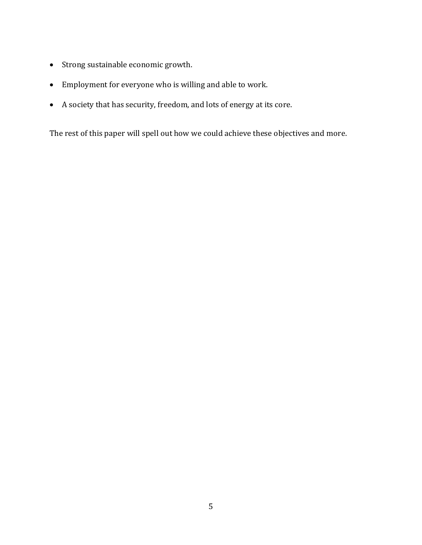- Strong sustainable economic growth.
- Employment for everyone who is willing and able to work.
- A society that has security, freedom, and lots of energy at its core.

The rest of this paper will spell out how we could achieve these objectives and more.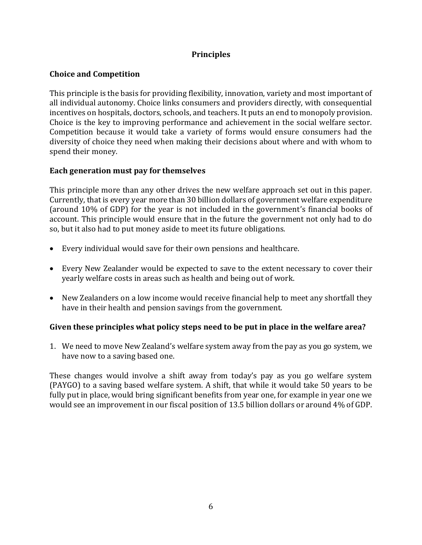# **Principles**

# **Choice and Competition**

This principle is the basis for providing flexibility, innovation, variety and most important of all individual autonomy. Choice links consumers and providers directly, with consequential incentives on hospitals, doctors, schools, and teachers. It puts an end to monopoly provision. Choice is the key to improving performance and achievement in the social welfare sector. Competition because it would take a variety of forms would ensure consumers had the diversity of choice they need when making their decisions about where and with whom to spend their money.

#### **Each generation must pay for themselves**

This principle more than any other drives the new welfare approach set out in this paper. Currently, that is every year more than 30 billion dollars of government welfare expenditure (around 10% of GDP) for the year is not included in the government's financial books of account. This principle would ensure that in the future the government not only had to do so, but it also had to put money aside to meet its future obligations.

- Every individual would save for their own pensions and healthcare.
- Every New Zealander would be expected to save to the extent necessary to cover their yearly welfare costs in areas such as health and being out of work.
- New Zealanders on a low income would receive financial help to meet any shortfall they have in their health and pension savings from the government.

#### **Given these principles what policy steps need to be put in place in the welfare area?**

1. We need to move New Zealand's welfare system away from the pay as you go system, we have now to a saving based one.

These changes would involve a shift away from today's pay as you go welfare system (PAYGO) to a saving based welfare system. A shift, that while it would take 50 years to be fully put in place, would bring significant benefits from year one, for example in year one we would see an improvement in our fiscal position of 13.5 billion dollars or around 4% of GDP.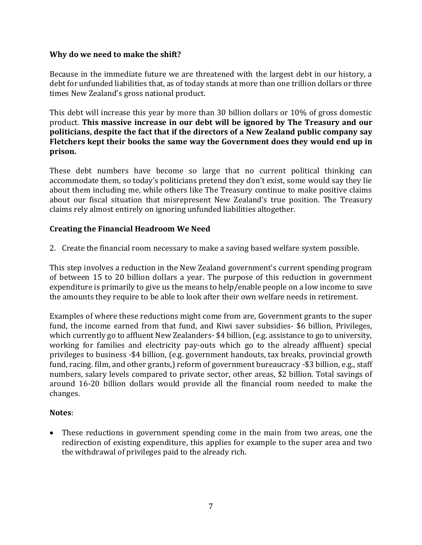#### **Why do we need to make the shift?**

Because in the immediate future we are threatened with the largest debt in our history, a debt for unfunded liabilities that, as of today stands at more than one trillion dollars or three times New Zealand's gross national product.

This debt will increase this year by more than 30 billion dollars or 10% of gross domestic product. **This massive increase in our debt will be ignored by The Treasury and our politicians, despite the fact that if the directors of a New Zealand public company say Fletchers kept their books the same way the Government does they would end up in prison.** 

These debt numbers have become so large that no current political thinking can accommodate them, so today's politicians pretend they don't exist, some would say they lie about them including me, while others like The Treasury continue to make positive claims about our fiscal situation that misrepresent New Zealand's true position. The Treasury claims rely almost entirely on ignoring unfunded liabilities altogether.

#### **Creating the Financial Headroom We Need**

2. Create the financial room necessary to make a saving based welfare system possible.

This step involves a reduction in the New Zealand government's current spending program of between 15 to 20 billion dollars a year. The purpose of this reduction in government expenditure is primarily to give us the means to help/enable people on a low income to save the amounts they require to be able to look after their own welfare needs in retirement.

Examples of where these reductions might come from are, Government grants to the super fund, the income earned from that fund, and Kiwi saver subsidies- \$6 billion, Privileges, which currently go to affluent New Zealanders- \$4 billion, (e.g. assistance to go to university, working for families and electricity pay-outs which go to the already affluent) special privileges to business -\$4 billion, (e.g. government handouts, tax breaks, provincial growth fund, racing. film, and other grants,) reform of government bureaucracy -\$3 billion, e.g., staff numbers, salary levels compared to private sector, other areas, \$2 billion. Total savings of around 16-20 billion dollars would provide all the financial room needed to make the changes.

#### **Notes**:

• These reductions in government spending come in the main from two areas, one the redirection of existing expenditure, this applies for example to the super area and two the withdrawal of privileges paid to the already rich.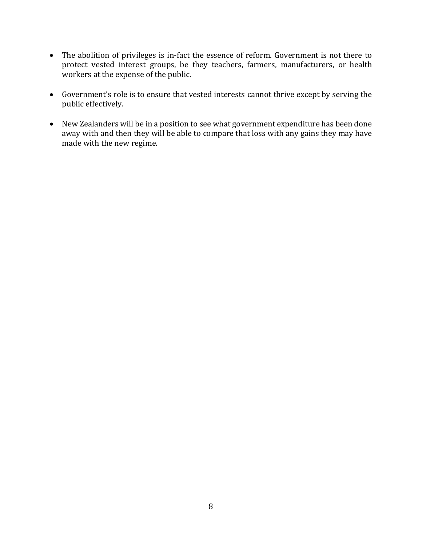- The abolition of privileges is in-fact the essence of reform. Government is not there to protect vested interest groups, be they teachers, farmers, manufacturers, or health workers at the expense of the public.
- Government's role is to ensure that vested interests cannot thrive except by serving the public effectively.
- New Zealanders will be in a position to see what government expenditure has been done away with and then they will be able to compare that loss with any gains they may have made with the new regime.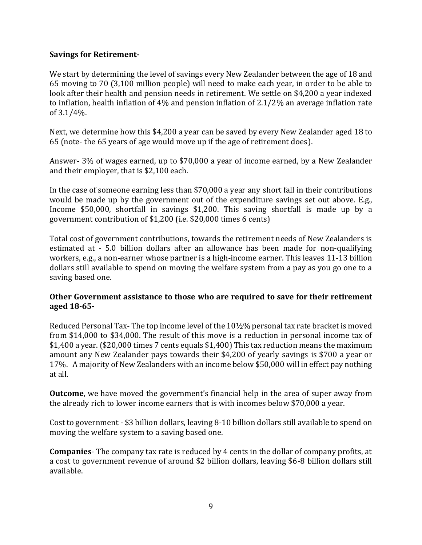#### **Savings for Retirement-**

We start by determining the level of savings every New Zealander between the age of 18 and 65 moving to 70 (3,100 million people) will need to make each year, in order to be able to look after their health and pension needs in retirement. We settle on \$4,200 a year indexed to inflation, health inflation of 4% and pension inflation of 2.1/2% an average inflation rate of 3.1/4%.

Next, we determine how this \$4,200 a year can be saved by every New Zealander aged 18 to 65 (note- the 65 years of age would move up if the age of retirement does).

Answer- 3% of wages earned, up to \$70,000 a year of income earned, by a New Zealander and their employer, that is \$2,100 each.

In the case of someone earning less than \$70,000 a year any short fall in their contributions would be made up by the government out of the expenditure savings set out above. E.g., Income \$50,000, shortfall in savings \$1,200. This saving shortfall is made up by a government contribution of \$1,200 (i.e. \$20,000 times 6 cents)

Total cost of government contributions, towards the retirement needs of New Zealanders is estimated at - 5.0 billion dollars after an allowance has been made for non-qualifying workers, e.g., a non-earner whose partner is a high-income earner. This leaves 11-13 billion dollars still available to spend on moving the welfare system from a pay as you go one to a saving based one.

# **Other Government assistance to those who are required to save for their retirement aged 18-65-**

Reduced Personal Tax- The top income level of the 10½% personal tax rate bracket is moved from \$14,000 to \$34,000. The result of this move is a reduction in personal income tax of \$1,400 a year. (\$20,000 times 7 cents equals \$1,400) This tax reduction means the maximum amount any New Zealander pays towards their \$4,200 of yearly savings is \$700 a year or 17%. A majority of New Zealanders with an income below \$50,000 will in effect pay nothing at all.

**Outcome**, we have moved the government's financial help in the area of super away from the already rich to lower income earners that is with incomes below \$70,000 a year.

Cost to government - \$3 billion dollars, leaving 8-10 billion dollars still available to spend on moving the welfare system to a saving based one.

**Companies**- The company tax rate is reduced by 4 cents in the dollar of company profits, at a cost to government revenue of around \$2 billion dollars, leaving \$6-8 billion dollars still available.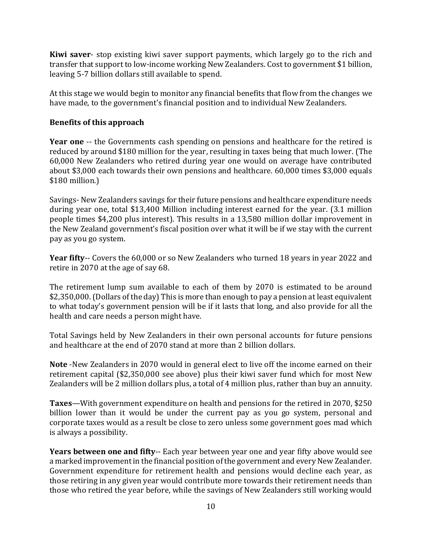**Kiwi saver**- stop existing kiwi saver support payments, which largely go to the rich and transfer that support to low-income working New Zealanders. Cost to government \$1 billion, leaving 5-7 billion dollars still available to spend.

At this stage we would begin to monitor any financial benefits that flow from the changes we have made, to the government's financial position and to individual New Zealanders.

# **Benefits of this approach**

**Year one** -- the Governments cash spending on pensions and healthcare for the retired is reduced by around \$180 million for the year, resulting in taxes being that much lower. (The 60,000 New Zealanders who retired during year one would on average have contributed about \$3,000 each towards their own pensions and healthcare. 60,000 times \$3,000 equals \$180 million.)

Savings- New Zealanders savings for their future pensions and healthcare expenditure needs during year one, total \$13,400 Million including interest earned for the year. (3.1 million people times \$4,200 plus interest). This results in a 13,580 million dollar improvement in the New Zealand government's fiscal position over what it will be if we stay with the current pay as you go system.

**Year fifty**-- Covers the 60,000 or so New Zealanders who turned 18 years in year 2022 and retire in 2070 at the age of say 68.

The retirement lump sum available to each of them by 2070 is estimated to be around \$2,350,000. (Dollars of the day) This is more than enough to pay a pension at least equivalent to what today's government pension will be if it lasts that long, and also provide for all the health and care needs a person might have.

Total Savings held by New Zealanders in their own personal accounts for future pensions and healthcare at the end of 2070 stand at more than 2 billion dollars.

**Note** -New Zealanders in 2070 would in general elect to live off the income earned on their retirement capital (\$2,350,000 see above) plus their kiwi saver fund which for most New Zealanders will be 2 million dollars plus, a total of 4 million plus, rather than buy an annuity.

**Taxes**—With government expenditure on health and pensions for the retired in 2070, \$250 billion lower than it would be under the current pay as you go system, personal and corporate taxes would as a result be close to zero unless some government goes mad which is always a possibility.

**Years between one and fifty**-- Each year between year one and year fifty above would see a marked improvement in the financial position of the government and every New Zealander. Government expenditure for retirement health and pensions would decline each year, as those retiring in any given year would contribute more towards their retirement needs than those who retired the year before, while the savings of New Zealanders still working would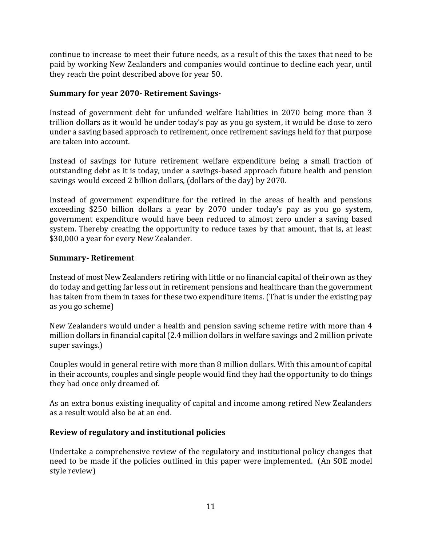continue to increase to meet their future needs, as a result of this the taxes that need to be paid by working New Zealanders and companies would continue to decline each year, until they reach the point described above for year 50.

# **Summary for year 2070- Retirement Savings-**

Instead of government debt for unfunded welfare liabilities in 2070 being more than 3 trillion dollars as it would be under today's pay as you go system, it would be close to zero under a saving based approach to retirement, once retirement savings held for that purpose are taken into account.

Instead of savings for future retirement welfare expenditure being a small fraction of outstanding debt as it is today, under a savings-based approach future health and pension savings would exceed 2 billion dollars, (dollars of the day) by 2070.

Instead of government expenditure for the retired in the areas of health and pensions exceeding \$250 billion dollars a year by 2070 under today's pay as you go system, government expenditure would have been reduced to almost zero under a saving based system. Thereby creating the opportunity to reduce taxes by that amount, that is, at least \$30,000 a year for every New Zealander.

#### **Summary- Retirement**

Instead of most New Zealanders retiring with little or no financial capital of their own as they do today and getting far less out in retirement pensions and healthcare than the government has taken from them in taxes for these two expenditure items. (That is under the existing pay as you go scheme)

New Zealanders would under a health and pension saving scheme retire with more than 4 million dollars in financial capital (2.4 million dollars in welfare savings and 2 million private super savings.)

Couples would in general retire with more than 8 million dollars. With this amount of capital in their accounts, couples and single people would find they had the opportunity to do things they had once only dreamed of.

As an extra bonus existing inequality of capital and income among retired New Zealanders as a result would also be at an end.

#### **Review of regulatory and institutional policies**

Undertake a comprehensive review of the regulatory and institutional policy changes that need to be made if the policies outlined in this paper were implemented. (An SOE model style review)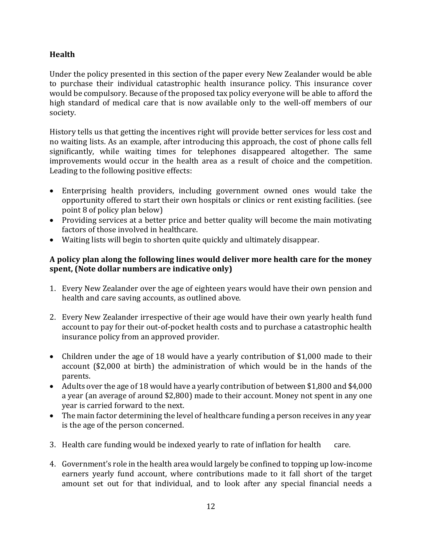# **Health**

Under the policy presented in this section of the paper every New Zealander would be able to purchase their individual catastrophic health insurance policy. This insurance cover would be compulsory. Because of the proposed tax policy everyone will be able to afford the high standard of medical care that is now available only to the well-off members of our society.

History tells us that getting the incentives right will provide better services for less cost and no waiting lists. As an example, after introducing this approach, the cost of phone calls fell significantly, while waiting times for telephones disappeared altogether. The same improvements would occur in the health area as a result of choice and the competition. Leading to the following positive effects:

- Enterprising health providers, including government owned ones would take the opportunity offered to start their own hospitals or clinics or rent existing facilities. (see point 8 of policy plan below)
- Providing services at a better price and better quality will become the main motivating factors of those involved in healthcare.
- Waiting lists will begin to shorten quite quickly and ultimately disappear.

# **A policy plan along the following lines would deliver more health care for the money spent, (Note dollar numbers are indicative only)**

- 1. Every New Zealander over the age of eighteen years would have their own pension and health and care saving accounts, as outlined above.
- 2. Every New Zealander irrespective of their age would have their own yearly health fund account to pay for their out-of-pocket health costs and to purchase a catastrophic health insurance policy from an approved provider.
- Children under the age of 18 would have a yearly contribution of \$1,000 made to their account (\$2,000 at birth) the administration of which would be in the hands of the parents.
- Adults over the age of 18 would have a yearly contribution of between \$1,800 and \$4,000 a year (an average of around \$2,800) made to their account. Money not spent in any one year is carried forward to the next.
- The main factor determining the level of healthcare funding a person receives in any year is the age of the person concerned.
- 3. Health care funding would be indexed yearly to rate of inflation for health care.
- 4. Government's role in the health area would largely be confined to topping up low-income earners yearly fund account, where contributions made to it fall short of the target amount set out for that individual, and to look after any special financial needs a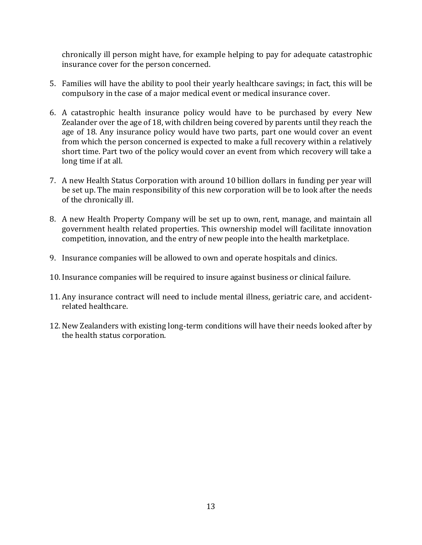chronically ill person might have, for example helping to pay for adequate catastrophic insurance cover for the person concerned.

- 5. Families will have the ability to pool their yearly healthcare savings; in fact, this will be compulsory in the case of a major medical event or medical insurance cover.
- 6. A catastrophic health insurance policy would have to be purchased by every New Zealander over the age of 18, with children being covered by parents until they reach the age of 18. Any insurance policy would have two parts, part one would cover an event from which the person concerned is expected to make a full recovery within a relatively short time. Part two of the policy would cover an event from which recovery will take a long time if at all.
- 7. A new Health Status Corporation with around 10 billion dollars in funding per year will be set up. The main responsibility of this new corporation will be to look after the needs of the chronically ill.
- 8. A new Health Property Company will be set up to own, rent, manage, and maintain all government health related properties. This ownership model will facilitate innovation competition, innovation, and the entry of new people into the health marketplace.
- 9. Insurance companies will be allowed to own and operate hospitals and clinics.
- 10. Insurance companies will be required to insure against business or clinical failure.
- 11. Any insurance contract will need to include mental illness, geriatric care, and accidentrelated healthcare.
- 12. New Zealanders with existing long-term conditions will have their needs looked after by the health status corporation.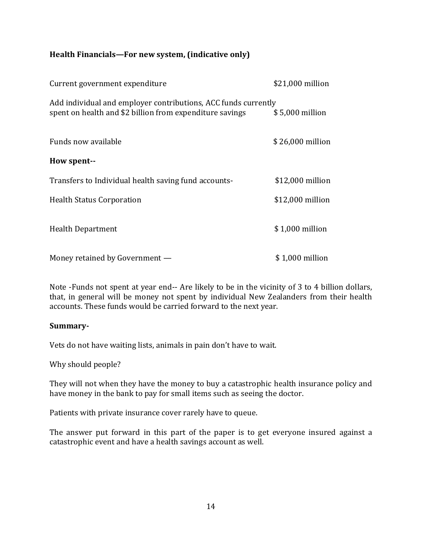# **Health Financials—For new system, (indicative only)**

| Current government expenditure                                                                                             | \$21,000 million |
|----------------------------------------------------------------------------------------------------------------------------|------------------|
| Add individual and employer contributions, ACC funds currently<br>spent on health and \$2 billion from expenditure savings | \$5,000 million  |
| Funds now available                                                                                                        | \$26,000 million |
| How spent--                                                                                                                |                  |
| Transfers to Individual health saving fund accounts-                                                                       | \$12,000 million |
| <b>Health Status Corporation</b>                                                                                           | \$12,000 million |
| <b>Health Department</b>                                                                                                   | \$1,000 million  |
| Money retained by Government —                                                                                             | \$1,000 million  |

Note -Funds not spent at year end-- Are likely to be in the vicinity of 3 to 4 billion dollars, that, in general will be money not spent by individual New Zealanders from their health accounts. These funds would be carried forward to the next year.

#### **Summary-**

Vets do not have waiting lists, animals in pain don't have to wait.

Why should people?

They will not when they have the money to buy a catastrophic health insurance policy and have money in the bank to pay for small items such as seeing the doctor.

Patients with private insurance cover rarely have to queue.

The answer put forward in this part of the paper is to get everyone insured against a catastrophic event and have a health savings account as well.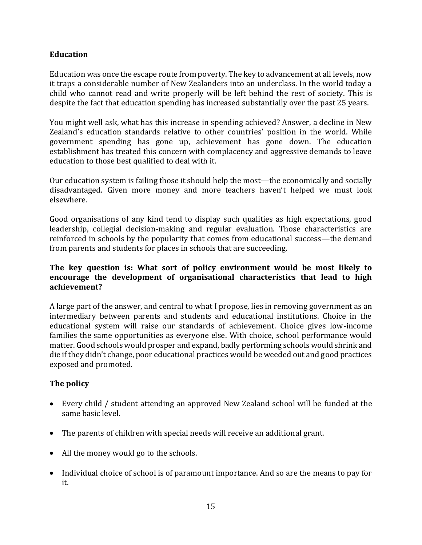# **Education**

Education was once the escape route from poverty. The key to advancement at all levels, now it traps a considerable number of New Zealanders into an underclass. In the world today a child who cannot read and write properly will be left behind the rest of society. This is despite the fact that education spending has increased substantially over the past 25 years.

You might well ask, what has this increase in spending achieved? Answer, a decline in New Zealand's education standards relative to other countries' position in the world. While government spending has gone up, achievement has gone down. The education establishment has treated this concern with complacency and aggressive demands to leave education to those best qualified to deal with it.

Our education system is failing those it should help the most—the economically and socially disadvantaged. Given more money and more teachers haven't helped we must look elsewhere.

Good organisations of any kind tend to display such qualities as high expectations, good leadership, collegial decision-making and regular evaluation. Those characteristics are reinforced in schools by the popularity that comes from educational success—the demand from parents and students for places in schools that are succeeding.

# **The key question is: What sort of policy environment would be most likely to encourage the development of organisational characteristics that lead to high achievement?**

A large part of the answer, and central to what I propose, lies in removing government as an intermediary between parents and students and educational institutions. Choice in the educational system will raise our standards of achievement. Choice gives low-income families the same opportunities as everyone else. With choice, school performance would matter. Good schools would prosper and expand, badly performing schools would shrink and die if they didn't change, poor educational practices would be weeded out and good practices exposed and promoted.

# **The policy**

- Every child / student attending an approved New Zealand school will be funded at the same basic level.
- The parents of children with special needs will receive an additional grant.
- All the money would go to the schools.
- Individual choice of school is of paramount importance. And so are the means to pay for it.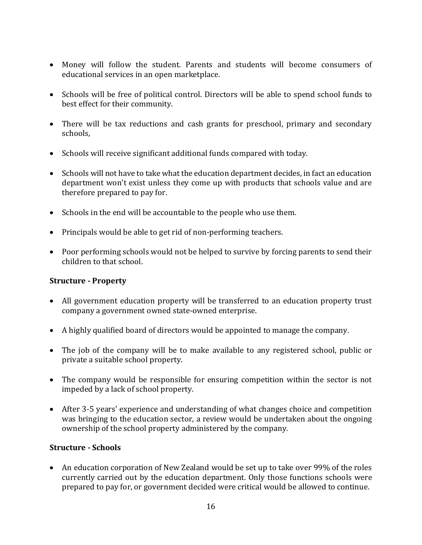- Money will follow the student. Parents and students will become consumers of educational services in an open marketplace.
- Schools will be free of political control. Directors will be able to spend school funds to best effect for their community.
- There will be tax reductions and cash grants for preschool, primary and secondary schools,
- Schools will receive significant additional funds compared with today.
- Schools will not have to take what the education department decides, in fact an education department won't exist unless they come up with products that schools value and are therefore prepared to pay for.
- Schools in the end will be accountable to the people who use them.
- Principals would be able to get rid of non-performing teachers.
- Poor performing schools would not be helped to survive by forcing parents to send their children to that school.

#### **Structure - Property**

- All government education property will be transferred to an education property trust company a government owned state-owned enterprise.
- A highly qualified board of directors would be appointed to manage the company.
- The job of the company will be to make available to any registered school, public or private a suitable school property.
- The company would be responsible for ensuring competition within the sector is not impeded by a lack of school property.
- After 3-5 years' experience and understanding of what changes choice and competition was bringing to the education sector, a review would be undertaken about the ongoing ownership of the school property administered by the company.

#### **Structure - Schools**

• An education corporation of New Zealand would be set up to take over 99% of the roles currently carried out by the education department. Only those functions schools were prepared to pay for, or government decided were critical would be allowed to continue.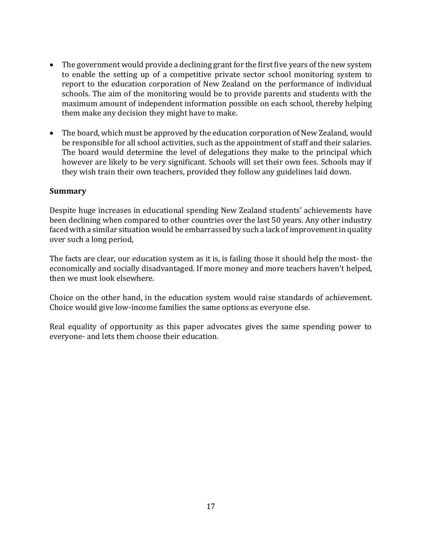- The government would provide a declining grant for the first five years of the new system to enable the setting up of a competitive private sector school monitoring system to report to the education corporation of New Zealand on the performance of individual schools. The aim of the monitoring would be to provide parents and students with the maximum amount of independent information possible on each school, thereby helping them make any decision they might have to make.
- The board, which must be approved by the education corporation of New Zealand, would be responsible for all school activities, such as the appointment of staff and their salaries. The board would determine the level of delegations they make to the principal which however are likely to be very significant. Schools will set their own fees. Schools may if they wish train their own teachers, provided they follow any guidelines laid down.

#### **Summary**

Despite huge increases in educational spending New Zealand students' achievements have been declining when compared to other countries over the last 50 years. Any other industry faced with a similar situation would be embarrassed by such a lack of improvement in quality over such a long period,

The facts are clear, our education system as it is, is failing those it should help the most- the economically and socially disadvantaged. If more money and more teachers haven't helped, then we must look elsewhere.

Choice on the other hand, in the education system would raise standards of achievement. Choice would give low-income families the same options as everyone else.

Real equality of opportunity as this paper advocates gives the same spending power to everyone- and lets them choose their education.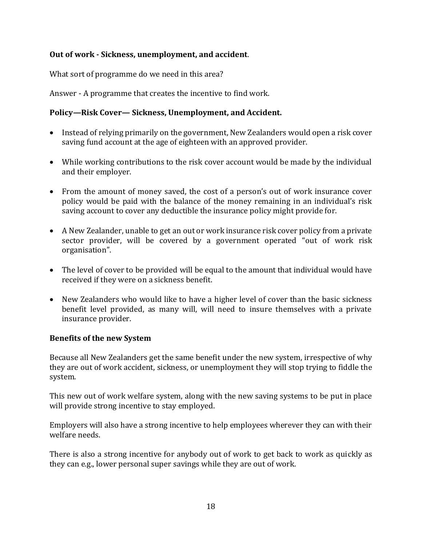# **Out of work - Sickness, unemployment, and accident**.

What sort of programme do we need in this area?

Answer - A programme that creates the incentive to find work.

# **Policy—Risk Cover— Sickness, Unemployment, and Accident.**

- Instead of relying primarily on the government, New Zealanders would open a risk cover saving fund account at the age of eighteen with an approved provider.
- While working contributions to the risk cover account would be made by the individual and their employer.
- From the amount of money saved, the cost of a person's out of work insurance cover policy would be paid with the balance of the money remaining in an individual's risk saving account to cover any deductible the insurance policy might provide for.
- A New Zealander, unable to get an out or work insurance risk cover policy from a private sector provider, will be covered by a government operated "out of work risk organisation".
- The level of cover to be provided will be equal to the amount that individual would have received if they were on a sickness benefit.
- New Zealanders who would like to have a higher level of cover than the basic sickness benefit level provided, as many will, will need to insure themselves with a private insurance provider.

#### **Benefits of the new System**

Because all New Zealanders get the same benefit under the new system, irrespective of why they are out of work accident, sickness, or unemployment they will stop trying to fiddle the system.

This new out of work welfare system, along with the new saving systems to be put in place will provide strong incentive to stay employed.

Employers will also have a strong incentive to help employees wherever they can with their welfare needs.

There is also a strong incentive for anybody out of work to get back to work as quickly as they can e.g., lower personal super savings while they are out of work.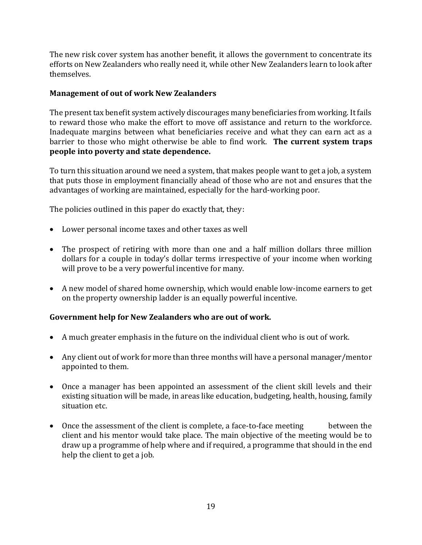The new risk cover system has another benefit, it allows the government to concentrate its efforts on New Zealanders who really need it, while other New Zealanders learn to look after themselves.

# **Management of out of work New Zealanders**

The present tax benefit system actively discourages many beneficiaries from working. It fails to reward those who make the effort to move off assistance and return to the workforce. Inadequate margins between what beneficiaries receive and what they can earn act as a barrier to those who might otherwise be able to find work. **The current system traps people into poverty and state dependence.**

To turn this situation around we need a system, that makes people want to get a job, a system that puts those in employment financially ahead of those who are not and ensures that the advantages of working are maintained, especially for the hard-working poor.

The policies outlined in this paper do exactly that, they:

- Lower personal income taxes and other taxes as well
- The prospect of retiring with more than one and a half million dollars three million dollars for a couple in today's dollar terms irrespective of your income when working will prove to be a very powerful incentive for many.
- A new model of shared home ownership, which would enable low-income earners to get on the property ownership ladder is an equally powerful incentive.

# **Government help for New Zealanders who are out of work.**

- A much greater emphasis in the future on the individual client who is out of work.
- Any client out of work for more than three months will have a personal manager/mentor appointed to them.
- Once a manager has been appointed an assessment of the client skill levels and their existing situation will be made, in areas like education, budgeting, health, housing, family situation etc.
- Once the assessment of the client is complete, a face-to-face meeting between the client and his mentor would take place. The main objective of the meeting would be to draw up a programme of help where and if required, a programme that should in the end help the client to get a job.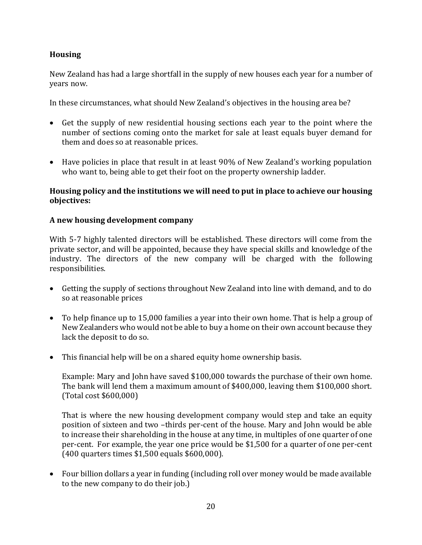# **Housing**

New Zealand has had a large shortfall in the supply of new houses each year for a number of years now.

In these circumstances, what should New Zealand's objectives in the housing area be?

- Get the supply of new residential housing sections each year to the point where the number of sections coming onto the market for sale at least equals buyer demand for them and does so at reasonable prices.
- Have policies in place that result in at least 90% of New Zealand's working population who want to, being able to get their foot on the property ownership ladder.

# **Housing policy and the institutions we will need to put in place to achieve our housing objectives:**

# **A new housing development company**

With 5-7 highly talented directors will be established. These directors will come from the private sector, and will be appointed, because they have special skills and knowledge of the industry. The directors of the new company will be charged with the following responsibilities.

- Getting the supply of sections throughout New Zealand into line with demand, and to do so at reasonable prices
- To help finance up to 15,000 families a year into their own home. That is help a group of New Zealanders who would not be able to buy a home on their own account because they lack the deposit to do so.
- This financial help will be on a shared equity home ownership basis.

Example: Mary and John have saved \$100,000 towards the purchase of their own home. The bank will lend them a maximum amount of \$400,000, leaving them \$100,000 short. (Total cost \$600,000)

That is where the new housing development company would step and take an equity position of sixteen and two –thirds per-cent of the house. Mary and John would be able to increase their shareholding in the house at any time, in multiples of one quarter of one per-cent. For example, the year one price would be \$1,500 for a quarter of one per-cent (400 quarters times \$1,500 equals \$600,000).

• Four billion dollars a year in funding (including roll over money would be made available to the new company to do their job.)